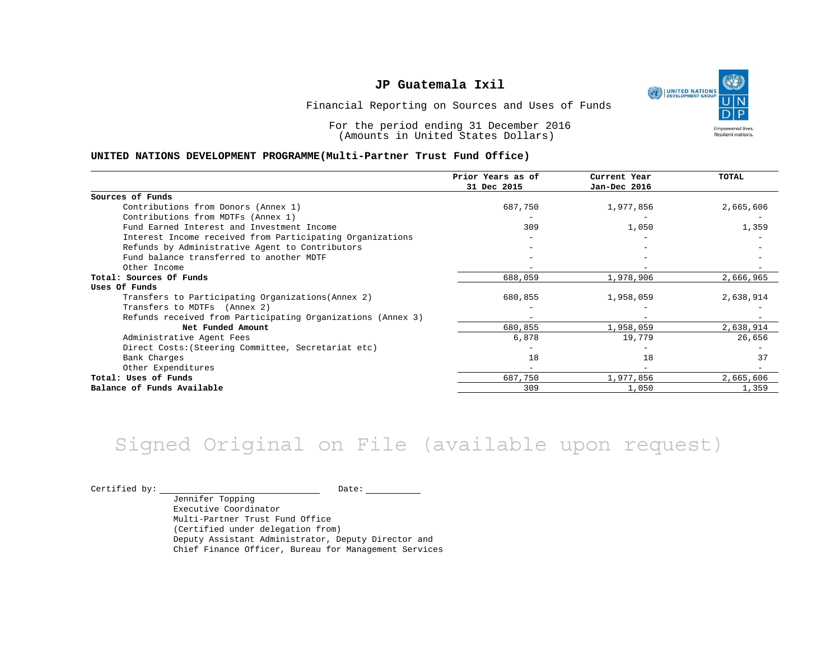UNITED NATIONS **Empowered lives** Resilient nations.

Financial Reporting on Sources and Uses of Funds

For the period ending 31 December 2016 (Amounts in United States Dollars)

#### **UNITED NATIONS DEVELOPMENT PROGRAMME(Multi-Partner Trust Fund Office)**

|                                                             | Prior Years as of<br>31 Dec 2015 | Current Year<br>Jan-Dec 2016 | TOTAL     |
|-------------------------------------------------------------|----------------------------------|------------------------------|-----------|
| Sources of Funds                                            |                                  |                              |           |
| Contributions from Donors (Annex 1)                         | 687,750                          | 1,977,856                    | 2,665,606 |
| Contributions from MDTFs (Annex 1)                          |                                  |                              |           |
| Fund Earned Interest and Investment Income                  | 309                              | 1,050                        | 1,359     |
| Interest Income received from Participating Organizations   |                                  |                              |           |
| Refunds by Administrative Agent to Contributors             |                                  |                              |           |
| Fund balance transferred to another MDTF                    |                                  |                              |           |
| Other Income                                                |                                  |                              |           |
| Total: Sources Of Funds                                     | 688,059                          | 1,978,906                    | 2,666,965 |
| Uses Of Funds                                               |                                  |                              |           |
| Transfers to Participating Organizations (Annex 2)          | 680,855                          | 1,958,059                    | 2,638,914 |
| Transfers to MDTFs (Annex 2)                                |                                  |                              |           |
| Refunds received from Participating Organizations (Annex 3) | $-$                              | $\overline{\phantom{m}}$     |           |
| Net Funded Amount                                           | 680,855                          | 1,958,059                    | 2,638,914 |
| Administrative Agent Fees                                   | 6,878                            | 19,779                       | 26,656    |
| Direct Costs: (Steering Committee, Secretariat etc)         |                                  |                              |           |
| Bank Charges                                                | 18                               | 18                           | 37        |
| Other Expenditures                                          |                                  |                              |           |
| Total: Uses of Funds                                        | 687,750                          | 1,977,856                    | 2,665,606 |
| Balance of Funds Available                                  | 309                              | 1,050                        | 1,359     |

## Signed Original on File (available upon request)

 $\begin{tabular}{c} \multicolumn{2}{c|}{\text{Certified by:}} \end{tabular} \begin{tabular}{c} \multicolumn{2}{c|}{\text{Date:}} \end{tabular} \begin{tabular}{c} \multicolumn{2}{c|}{\text{Date:}} \end{tabular} \end{tabular}$ 

Jennifer Topping Executive Coordinator Multi-Partner Trust Fund Office (Certified under delegation from) Deputy Assistant Administrator, Deputy Director and Chief Finance Officer, Bureau for Management Services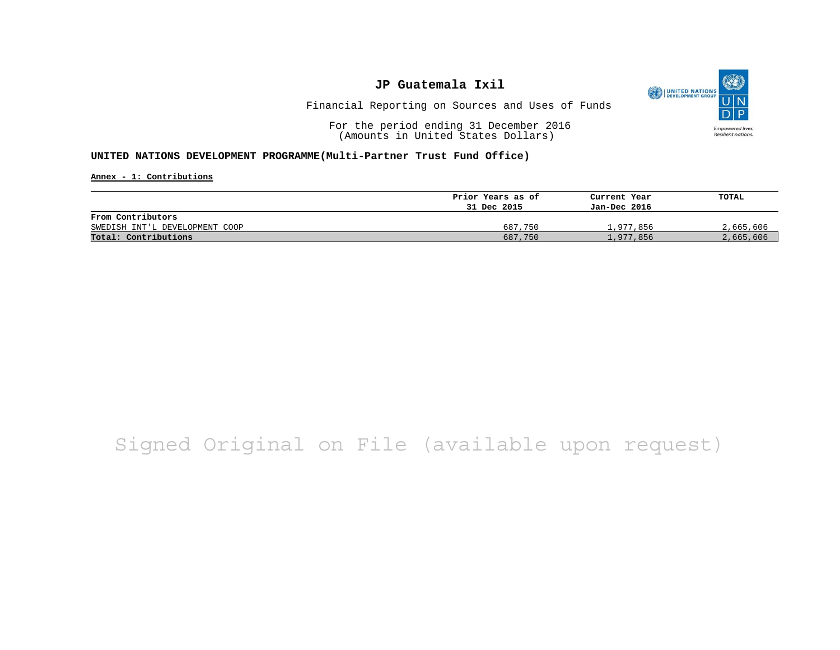

Financial Reporting on Sources and Uses of Funds

For the period ending 31 December 2016 (Amounts in United States Dollars)

#### **UNITED NATIONS DEVELOPMENT PROGRAMME(Multi-Partner Trust Fund Office)**

**Annex - 1: Contributions**

|                                | Prior Years as of | Current Year | TOTAL     |
|--------------------------------|-------------------|--------------|-----------|
|                                | 31 Dec 2015       | Jan-Dec 2016 |           |
| From Contributors              |                   |              |           |
| SWEDISH INT'L DEVELOPMENT COOP | 687,750           | l.977.856    | 2,665,606 |
| Total: Contributions           | 687,750           | 1,977,856    | 2,665,606 |

## Signed Original on File (available upon request)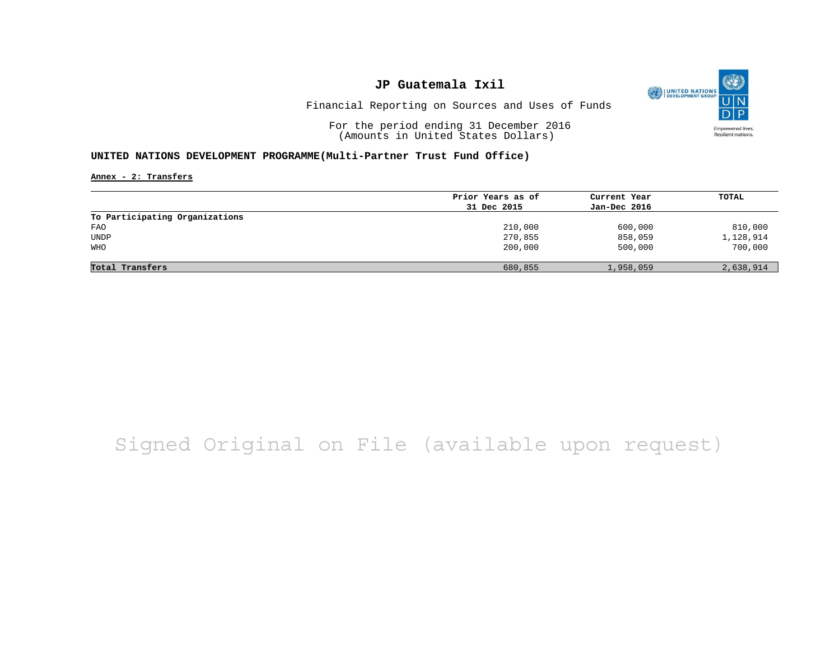

Financial Reporting on Sources and Uses of Funds

For the period ending 31 December 2016 (Amounts in United States Dollars)

#### **UNITED NATIONS DEVELOPMENT PROGRAMME(Multi-Partner Trust Fund Office)**

**Annex - 2: Transfers**

|                                | Prior Years as of | Current Year | TOTAL     |
|--------------------------------|-------------------|--------------|-----------|
|                                | 31 Dec 2015       | Jan-Dec 2016 |           |
| To Participating Organizations |                   |              |           |
| FAO                            | 210,000           | 600,000      | 810,000   |
| <b>UNDP</b>                    | 270,855           | 858,059      | 1,128,914 |
| WHO                            | 200,000           | 500,000      | 700,000   |
|                                |                   |              |           |
| Total Transfers                | 680,855           | 1,958,059    | 2,638,914 |

## Signed Original on File (available upon request)